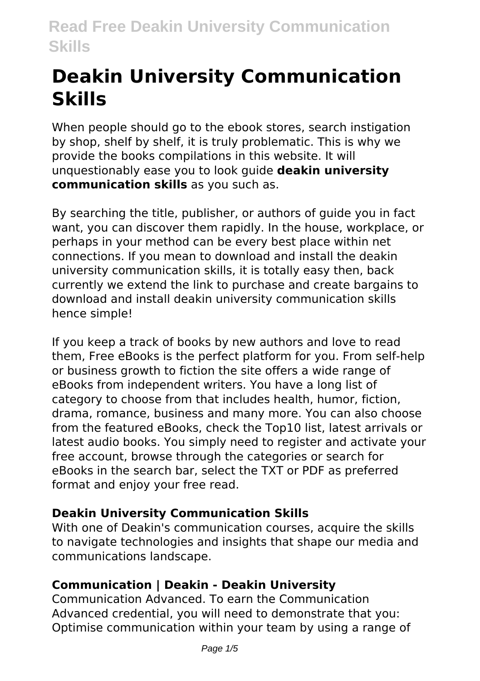# **Deakin University Communication Skills**

When people should go to the ebook stores, search instigation by shop, shelf by shelf, it is truly problematic. This is why we provide the books compilations in this website. It will unquestionably ease you to look guide **deakin university communication skills** as you such as.

By searching the title, publisher, or authors of guide you in fact want, you can discover them rapidly. In the house, workplace, or perhaps in your method can be every best place within net connections. If you mean to download and install the deakin university communication skills, it is totally easy then, back currently we extend the link to purchase and create bargains to download and install deakin university communication skills hence simple!

If you keep a track of books by new authors and love to read them, Free eBooks is the perfect platform for you. From self-help or business growth to fiction the site offers a wide range of eBooks from independent writers. You have a long list of category to choose from that includes health, humor, fiction, drama, romance, business and many more. You can also choose from the featured eBooks, check the Top10 list, latest arrivals or latest audio books. You simply need to register and activate your free account, browse through the categories or search for eBooks in the search bar, select the TXT or PDF as preferred format and enjoy your free read.

### **Deakin University Communication Skills**

With one of Deakin's communication courses, acquire the skills to navigate technologies and insights that shape our media and communications landscape.

### **Communication | Deakin - Deakin University**

Communication Advanced. To earn the Communication Advanced credential, you will need to demonstrate that you: Optimise communication within your team by using a range of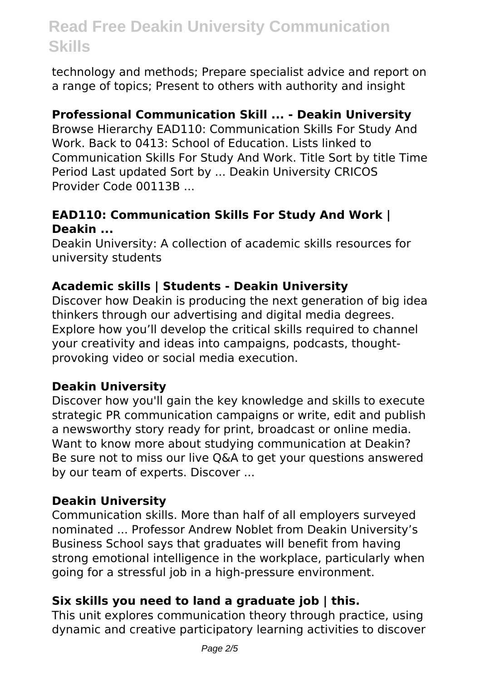technology and methods; Prepare specialist advice and report on a range of topics; Present to others with authority and insight

#### **Professional Communication Skill ... - Deakin University**

Browse Hierarchy EAD110: Communication Skills For Study And Work. Back to 0413: School of Education. Lists linked to Communication Skills For Study And Work. Title Sort by title Time Period Last updated Sort by ... Deakin University CRICOS Provider Code 00113B ...

#### **EAD110: Communication Skills For Study And Work | Deakin ...**

Deakin University: A collection of academic skills resources for university students

#### **Academic skills | Students - Deakin University**

Discover how Deakin is producing the next generation of big idea thinkers through our advertising and digital media degrees. Explore how you'll develop the critical skills required to channel your creativity and ideas into campaigns, podcasts, thoughtprovoking video or social media execution.

#### **Deakin University**

Discover how you'll gain the key knowledge and skills to execute strategic PR communication campaigns or write, edit and publish a newsworthy story ready for print, broadcast or online media. Want to know more about studying communication at Deakin? Be sure not to miss our live Q&A to get your questions answered by our team of experts. Discover ...

#### **Deakin University**

Communication skills. More than half of all employers surveyed nominated ... Professor Andrew Noblet from Deakin University's Business School says that graduates will benefit from having strong emotional intelligence in the workplace, particularly when going for a stressful job in a high-pressure environment.

#### **Six skills you need to land a graduate job | this.**

This unit explores communication theory through practice, using dynamic and creative participatory learning activities to discover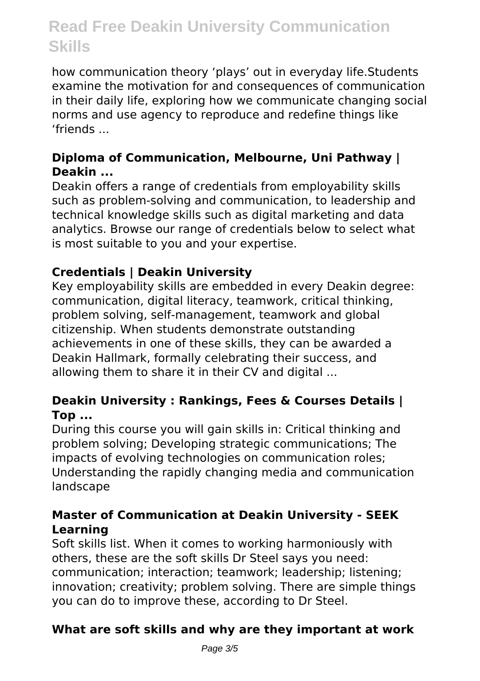how communication theory 'plays' out in everyday life.Students examine the motivation for and consequences of communication in their daily life, exploring how we communicate changing social norms and use agency to reproduce and redefine things like 'friends ...

#### **Diploma of Communication, Melbourne, Uni Pathway | Deakin ...**

Deakin offers a range of credentials from employability skills such as problem-solving and communication, to leadership and technical knowledge skills such as digital marketing and data analytics. Browse our range of credentials below to select what is most suitable to you and your expertise.

#### **Credentials | Deakin University**

Key employability skills are embedded in every Deakin degree: communication, digital literacy, teamwork, critical thinking, problem solving, self-management, teamwork and global citizenship. When students demonstrate outstanding achievements in one of these skills, they can be awarded a Deakin Hallmark, formally celebrating their success, and allowing them to share it in their CV and digital ...

#### **Deakin University : Rankings, Fees & Courses Details | Top ...**

During this course you will gain skills in: Critical thinking and problem solving; Developing strategic communications; The impacts of evolving technologies on communication roles; Understanding the rapidly changing media and communication landscape

#### **Master of Communication at Deakin University - SEEK Learning**

Soft skills list. When it comes to working harmoniously with others, these are the soft skills Dr Steel says you need: communication; interaction; teamwork; leadership; listening; innovation; creativity; problem solving. There are simple things you can do to improve these, according to Dr Steel.

#### **What are soft skills and why are they important at work**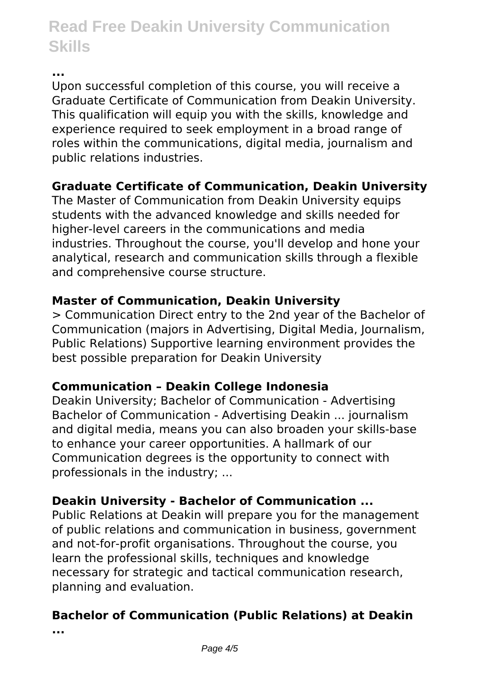**...**

Upon successful completion of this course, you will receive a Graduate Certificate of Communication from Deakin University. This qualification will equip you with the skills, knowledge and experience required to seek employment in a broad range of roles within the communications, digital media, journalism and public relations industries.

#### **Graduate Certificate of Communication, Deakin University**

The Master of Communication from Deakin University equips students with the advanced knowledge and skills needed for higher-level careers in the communications and media industries. Throughout the course, you'll develop and hone your analytical, research and communication skills through a flexible and comprehensive course structure.

#### **Master of Communication, Deakin University**

> Communication Direct entry to the 2nd year of the Bachelor of Communication (majors in Advertising, Digital Media, Journalism, Public Relations) Supportive learning environment provides the best possible preparation for Deakin University

#### **Communication – Deakin College Indonesia**

Deakin University; Bachelor of Communication - Advertising Bachelor of Communication - Advertising Deakin ... journalism and digital media, means you can also broaden your skills-base to enhance your career opportunities. A hallmark of our Communication degrees is the opportunity to connect with professionals in the industry; ...

#### **Deakin University - Bachelor of Communication ...**

Public Relations at Deakin will prepare you for the management of public relations and communication in business, government and not-for-profit organisations. Throughout the course, you learn the professional skills, techniques and knowledge necessary for strategic and tactical communication research, planning and evaluation.

### **Bachelor of Communication (Public Relations) at Deakin**

**...**